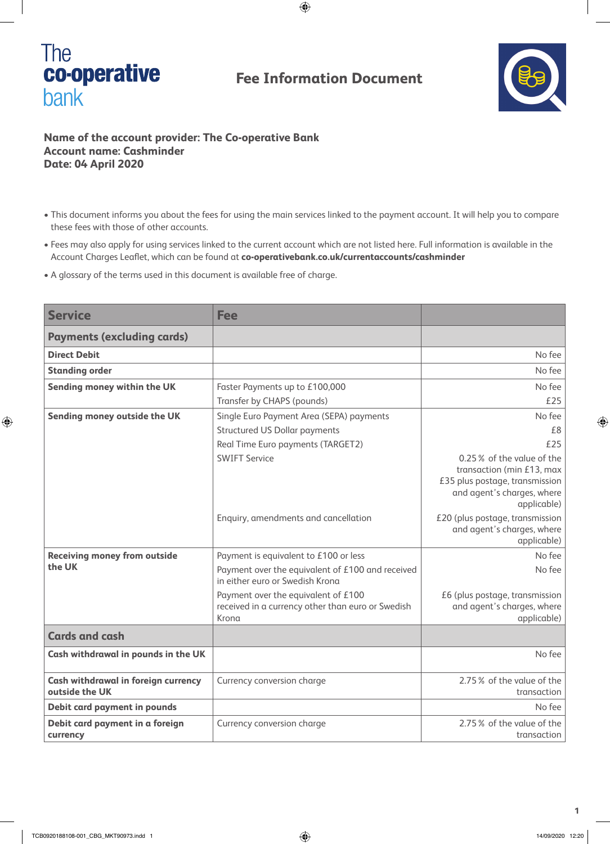

## **Fee Information Document**



## **Name of the account provider: The Co-operative Bank Account name: Cashminder Date: 04 April 2020**

- This document informs you about the fees for using the main services linked to the payment account. It will help you to compare these fees with those of other accounts.
- Fees may also apply for using services linked to the current account which are not listed here. Full information is available in the Account Charges Leaflet, which can be found at **co-operativebank.co.uk/currentaccounts/cashminder**
- A glossary of the terms used in this document is available free of charge.

| <b>Service</b>                                               | <b>Fee</b>                                                                                                                                                          |                                                                                                                                                              |
|--------------------------------------------------------------|---------------------------------------------------------------------------------------------------------------------------------------------------------------------|--------------------------------------------------------------------------------------------------------------------------------------------------------------|
| <b>Payments (excluding cards)</b>                            |                                                                                                                                                                     |                                                                                                                                                              |
| <b>Direct Debit</b>                                          |                                                                                                                                                                     | No fee                                                                                                                                                       |
| <b>Standing order</b>                                        |                                                                                                                                                                     | No fee                                                                                                                                                       |
| Sending money within the UK                                  | Faster Payments up to £100,000<br>Transfer by CHAPS (pounds)                                                                                                        | No fee<br>£25                                                                                                                                                |
| Sending money outside the UK                                 | Single Euro Payment Area (SEPA) payments<br><b>Structured US Dollar payments</b><br>Real Time Euro payments (TARGET2)<br><b>SWIFT Service</b>                       | No fee<br>£8<br>£25<br>0.25% of the value of the<br>transaction (min £13, max<br>£35 plus postage, transmission<br>and agent's charges, where<br>applicable) |
|                                                              | Enquiry, amendments and cancellation                                                                                                                                | £20 (plus postage, transmission<br>and agent's charges, where<br>applicable)                                                                                 |
| <b>Receiving money from outside</b><br>the UK                | Payment is equivalent to £100 or less<br>Payment over the equivalent of £100 and received<br>in either euro or Swedish Krona<br>Payment over the equivalent of £100 | No fee<br>No fee<br>£6 (plus postage, transmission                                                                                                           |
|                                                              | received in a currency other than euro or Swedish<br>Krona                                                                                                          | and agent's charges, where<br>applicable)                                                                                                                    |
| <b>Cards and cash</b>                                        |                                                                                                                                                                     |                                                                                                                                                              |
| Cash withdrawal in pounds in the UK                          |                                                                                                                                                                     | No fee                                                                                                                                                       |
| <b>Cash withdrawal in foreign currency</b><br>outside the UK | Currency conversion charge                                                                                                                                          | 2.75% of the value of the<br>transaction                                                                                                                     |
| <b>Debit card payment in pounds</b>                          |                                                                                                                                                                     | No fee                                                                                                                                                       |
| Debit card payment in a foreign<br>currency                  | Currency conversion charge                                                                                                                                          | 2.75% of the value of the<br>transaction                                                                                                                     |